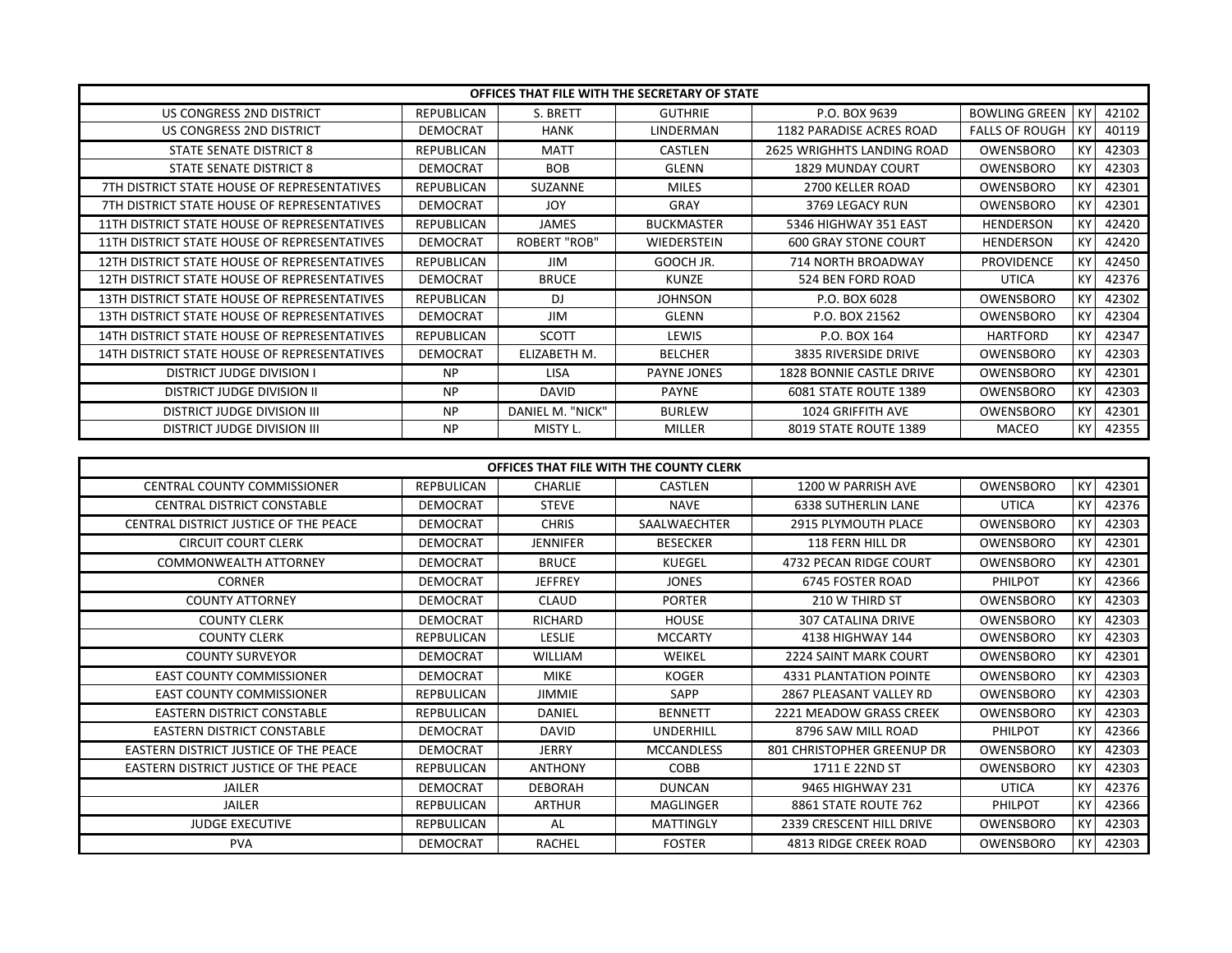| OFFICES THAT FILE WITH THE SECRETARY OF STATE |                 |                     |                    |                                   |                       |    |       |
|-----------------------------------------------|-----------------|---------------------|--------------------|-----------------------------------|-----------------------|----|-------|
| US CONGRESS 2ND DISTRICT                      | REPUBLICAN      | S. BRETT            | <b>GUTHRIE</b>     | P.O. BOX 9639                     | <b>BOWLING GREEN</b>  | KY | 42102 |
| US CONGRESS 2ND DISTRICT                      | <b>DEMOCRAT</b> | <b>HANK</b>         | LINDERMAN          | 1182 PARADISE ACRES ROAD          | <b>FALLS OF ROUGH</b> | KY | 40119 |
| STATE SENATE DISTRICT 8                       | REPUBLICAN      | <b>MATT</b>         | CASTLEN            | <b>2625 WRIGHHTS LANDING ROAD</b> | OWENSBORO             | KY | 42303 |
| STATE SENATE DISTRICT 8                       | <b>DEMOCRAT</b> | <b>BOB</b>          | GLENN              | <b>1829 MUNDAY COURT</b>          | OWENSBORO             | KY | 42303 |
| 7TH DISTRICT STATE HOUSE OF REPRESENTATIVES   | REPUBLICAN      | <b>SUZANNE</b>      | <b>MILES</b>       | 2700 KELLER ROAD                  | OWENSBORO             | KY | 42301 |
| 7TH DISTRICT STATE HOUSE OF REPRESENTATIVES   | <b>DEMOCRAT</b> | <b>JOY</b>          | <b>GRAY</b>        | 3769 LEGACY RUN                   | OWENSBORO             | KY | 42301 |
| 11TH DISTRICT STATE HOUSE OF REPRESENTATIVES  | REPUBLICAN      | <b>JAMES</b>        | <b>BUCKMASTER</b>  | 5346 HIGHWAY 351 EAST             | <b>HENDERSON</b>      | KY | 42420 |
| 11TH DISTRICT STATE HOUSE OF REPRESENTATIVES  | <b>DEMOCRAT</b> | <b>ROBERT "ROB"</b> | <b>WIEDERSTEIN</b> | <b>600 GRAY STONE COURT</b>       | <b>HENDERSON</b>      | KY | 42420 |
| 12TH DISTRICT STATE HOUSE OF REPRESENTATIVES  | REPUBLICAN      | <b>JIM</b>          | GOOCH JR.          | 714 NORTH BROADWAY                | <b>PROVIDENCE</b>     | KY | 42450 |
| 12TH DISTRICT STATE HOUSE OF REPRESENTATIVES  | <b>DEMOCRAT</b> | <b>BRUCE</b>        | <b>KUNZE</b>       | 524 BEN FORD ROAD                 | <b>UTICA</b>          | KY | 42376 |
| 13TH DISTRICT STATE HOUSE OF REPRESENTATIVES  | REPUBLICAN      | DJ.                 | <b>JOHNSON</b>     | P.O. BOX 6028                     | OWENSBORO             | KY | 42302 |
| 13TH DISTRICT STATE HOUSE OF REPRESENTATIVES  | <b>DEMOCRAT</b> | <b>JIM</b>          | GLENN              | P.O. BOX 21562                    | OWENSBORO             | KY | 42304 |
| 14TH DISTRICT STATE HOUSE OF REPRESENTATIVES  | REPUBLICAN      | <b>SCOTT</b>        | LEWIS              | P.O. BOX 164                      | <b>HARTFORD</b>       | KY | 42347 |
| 14TH DISTRICT STATE HOUSE OF REPRESENTATIVES  | <b>DEMOCRAT</b> | ELIZABETH M.        | <b>BELCHER</b>     | 3835 RIVERSIDE DRIVE              | OWENSBORO             | KY | 42303 |
| <b>DISTRICT JUDGE DIVISION I</b>              | <b>NP</b>       | <b>LISA</b>         | PAYNE JONES        | 1828 BONNIE CASTLE DRIVE          | OWENSBORO             | KY | 42301 |
| <b>DISTRICT JUDGE DIVISION II</b>             | <b>NP</b>       | <b>DAVID</b>        | <b>PAYNE</b>       | 6081 STATE ROUTE 1389             | OWENSBORO             | KY | 42303 |
| <b>DISTRICT JUDGE DIVISION III</b>            | <b>NP</b>       | DANIEL M. "NICK"    | <b>BURLEW</b>      | 1024 GRIFFITH AVE                 | OWENSBORO             | KY | 42301 |
| <b>DISTRICT JUDGE DIVISION III</b>            | <b>NP</b>       | MISTY L.            | <b>MILLER</b>      | 8019 STATE ROUTE 1389             | MACEO                 | KY | 42355 |

| OFFICES THAT FILE WITH THE COUNTY CLERK |                   |                 |                   |                               |              |           |       |
|-----------------------------------------|-------------------|-----------------|-------------------|-------------------------------|--------------|-----------|-------|
| <b>CENTRAL COUNTY COMMISSIONER</b>      | <b>REPBULICAN</b> | <b>CHARLIE</b>  | CASTLEN           | 1200 W PARRISH AVE            | OWENSBORO    | KY.       | 42301 |
| <b>CENTRAL DISTRICT CONSTABLE</b>       | <b>DEMOCRAT</b>   | <b>STEVE</b>    | <b>NAVE</b>       | <b>6338 SUTHERLIN LANE</b>    | <b>UTICA</b> | KY.       | 42376 |
| CENTRAL DISTRICT JUSTICE OF THE PEACE   | <b>DEMOCRAT</b>   | <b>CHRIS</b>    | SAALWAECHTER      | <b>2915 PLYMOUTH PLACE</b>    | OWENSBORO    | KY.       | 42303 |
| <b>CIRCUIT COURT CLERK</b>              | <b>DEMOCRAT</b>   | <b>JENNIFER</b> | <b>BESECKER</b>   | 118 FERN HILL DR              | OWENSBORO    | КY        | 42301 |
| <b>COMMONWEALTH ATTORNEY</b>            | <b>DEMOCRAT</b>   | <b>BRUCE</b>    | <b>KUEGEL</b>     | 4732 PECAN RIDGE COURT        | OWENSBORO    | <b>KY</b> | 42301 |
| <b>CORNER</b>                           | <b>DEMOCRAT</b>   | <b>JEFFREY</b>  | <b>JONES</b>      | <b>6745 FOSTER ROAD</b>       | PHILPOT      | <b>KY</b> | 42366 |
| <b>COUNTY ATTORNEY</b>                  | <b>DEMOCRAT</b>   | <b>CLAUD</b>    | <b>PORTER</b>     | 210 W THIRD ST                | OWENSBORO    | KY.       | 42303 |
| <b>COUNTY CLERK</b>                     | <b>DEMOCRAT</b>   | RICHARD         | HOUSE             | <b>307 CATALINA DRIVE</b>     | OWENSBORO    | KY        | 42303 |
| <b>COUNTY CLERK</b>                     | <b>REPBULICAN</b> | <b>LESLIE</b>   | <b>MCCARTY</b>    | 4138 HIGHWAY 144              | OWENSBORO    | KY.       | 42303 |
| <b>COUNTY SURVEYOR</b>                  | <b>DEMOCRAT</b>   | <b>WILLIAM</b>  | WEIKEL            | <b>2224 SAINT MARK COURT</b>  | OWENSBORO    | KY        | 42301 |
| <b>EAST COUNTY COMMISSIONER</b>         | <b>DEMOCRAT</b>   | <b>MIKE</b>     | <b>KOGER</b>      | <b>4331 PLANTATION POINTE</b> | OWENSBORO    | KY.       | 42303 |
| <b>EAST COUNTY COMMISSIONER</b>         | <b>REPBULICAN</b> | <b>JIMMIE</b>   | <b>SAPP</b>       | 2867 PLEASANT VALLEY RD       | OWENSBORO    | KY.       | 42303 |
| <b>EASTERN DISTRICT CONSTABLE</b>       | <b>REPBULICAN</b> | DANIEL          | <b>BENNETT</b>    | 2221 MEADOW GRASS CREEK       | OWENSBORO    | KY.       | 42303 |
| <b>EASTERN DISTRICT CONSTABLE</b>       | <b>DEMOCRAT</b>   | <b>DAVID</b>    | UNDERHILL         | 8796 SAW MILL ROAD            | PHILPOT      | <b>KY</b> | 42366 |
| EASTERN DISTRICT JUSTICE OF THE PEACE   | <b>DEMOCRAT</b>   | <b>JERRY</b>    | <b>MCCANDLESS</b> | 801 CHRISTOPHER GREENUP DR    | OWENSBORO    | KY        | 42303 |
| EASTERN DISTRICT JUSTICE OF THE PEACE   | <b>REPBULICAN</b> | <b>ANTHONY</b>  | <b>COBB</b>       | 1711 E 22ND ST                | OWENSBORO    | KY.       | 42303 |
| <b>JAILER</b>                           | <b>DEMOCRAT</b>   | <b>DEBORAH</b>  | <b>DUNCAN</b>     | 9465 HIGHWAY 231              | <b>UTICA</b> | KY.       | 42376 |
| <b>JAILER</b>                           | <b>REPBULICAN</b> | <b>ARTHUR</b>   | MAGLINGER         | 8861 STATE ROUTE 762          | PHILPOT      | <b>KY</b> | 42366 |
| <b>JUDGE EXECUTIVE</b>                  | <b>REPBULICAN</b> | AL              | MATTINGLY         | 2339 CRESCENT HILL DRIVE      | OWENSBORO    | KY.       | 42303 |
| <b>PVA</b>                              | <b>DEMOCRAT</b>   | RACHEL          | <b>FOSTER</b>     | 4813 RIDGE CREEK ROAD         | OWENSBORO    | КY        | 42303 |